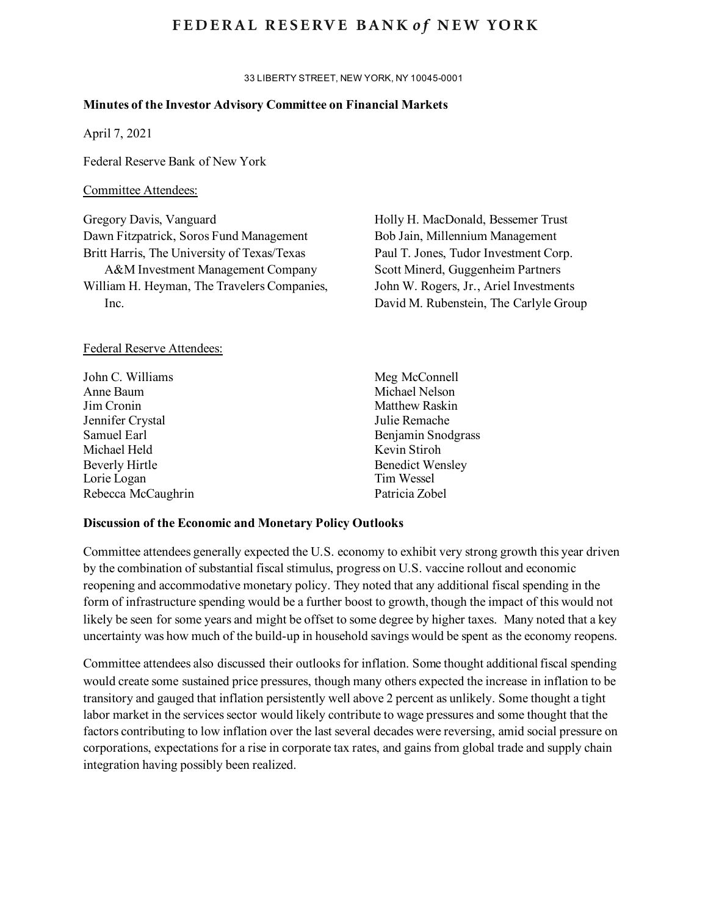## FEDERAL RESERVE BANK of NEW YORK

33 LIBERTY STREET, NEW YORK, NY 10045-0001

#### **Minutes of the Investor Advisory Committee on Financial Markets**

April 7, 2021

Federal Reserve Bank of New York

#### Committee Attendees:

Gregory Davis, Vanguard Dawn Fitzpatrick, Soros Fund Management Britt Harris, The University of Texas/Texas A&M Investment Management Company William H. Heyman, The Travelers Companies, Inc.

#### Federal Reserve Attendees:

| John C. Williams   | Meg McConnell           |
|--------------------|-------------------------|
| Anne Baum          | Michael Nelson          |
| Jim Cronin         | Matthew Raskin          |
| Jennifer Crystal   | Julie Remache           |
| Samuel Earl        | Benjamin Snodgrass      |
| Michael Held       | Kevin Stiroh            |
| Beverly Hirtle     | <b>Benedict Wensley</b> |
| Lorie Logan        | Tim Wessel              |
| Rebecca McCaughrin | Patricia Zobel          |
|                    |                         |

#### **Discussion of the Economic and Monetary Policy Outlooks**

Committee attendees generally expected the U.S. economy to exhibit very strong growth this year driven by the combination of substantial fiscal stimulus, progress on U.S. vaccine rollout and economic reopening and accommodative monetary policy. They noted that any additional fiscal spending in the form of infrastructure spending would be a further boost to growth, though the impact of this would not likely be seen for some years and might be offset to some degree by higher taxes. Many noted that a key uncertainty was how much of the build-up in household savings would be spent as the economy reopens.

Committee attendees also discussed their outlooks for inflation. Some thought additional fiscal spending would create some sustained price pressures, though many others expected the increase in inflation to be transitory and gauged that inflation persistently well above 2 percent as unlikely. Some thought a tight labor market in the services sector would likely contribute to wage pressures and some thought that the factors contributing to low inflation over the last several decades were reversing, amid social pressure on corporations, expectations for a rise in corporate tax rates, and gains from global trade and supply chain integration having possibly been realized.

Holly H. MacDonald, Bessemer Trust Bob Jain, Millennium Management Paul T. Jones, Tudor Investment Corp. Scott Minerd, Guggenheim Partners John W. Rogers, Jr., Ariel Investments David M. Rubenstein, The Carlyle Group